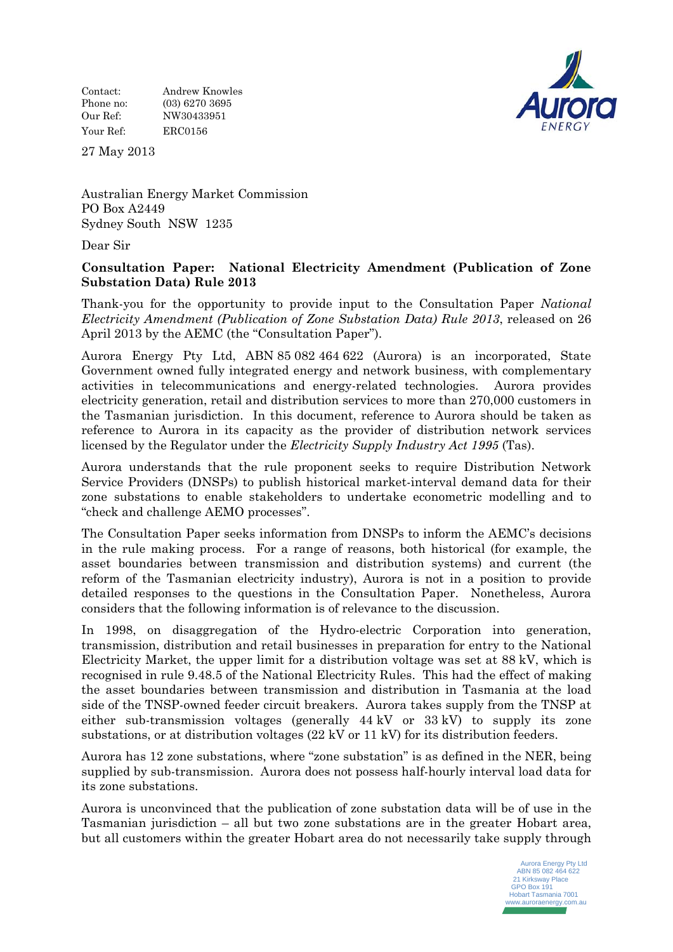Contact: Andrew Knowles Phone no: (03) 6270 3695 Our Ref: NW30433951 Your Ref: ERC0156



27 May 2013

Australian Energy Market Commission PO Box A2449 Sydney South NSW 1235

Dear Sir

## **Consultation Paper: National Electricity Amendment (Publication of Zone Substation Data) Rule 2013**

Thank-you for the opportunity to provide input to the Consultation Paper *National Electricity Amendment (Publication of Zone Substation Data) Rule 2013*, released on 26 April 2013 by the AEMC (the "Consultation Paper").

Aurora Energy Pty Ltd, ABN 85 082 464 622 (Aurora) is an incorporated, State Government owned fully integrated energy and network business, with complementary activities in telecommunications and energy-related technologies. Aurora provides electricity generation, retail and distribution services to more than 270,000 customers in the Tasmanian jurisdiction. In this document, reference to Aurora should be taken as reference to Aurora in its capacity as the provider of distribution network services licensed by the Regulator under the *Electricity Supply Industry Act 1995* (Tas).

Aurora understands that the rule proponent seeks to require Distribution Network Service Providers (DNSPs) to publish historical market-interval demand data for their zone substations to enable stakeholders to undertake econometric modelling and to "check and challenge AEMO processes".

The Consultation Paper seeks information from DNSPs to inform the AEMC's decisions in the rule making process. For a range of reasons, both historical (for example, the asset boundaries between transmission and distribution systems) and current (the reform of the Tasmanian electricity industry), Aurora is not in a position to provide detailed responses to the questions in the Consultation Paper. Nonetheless, Aurora considers that the following information is of relevance to the discussion.

In 1998, on disaggregation of the Hydro-electric Corporation into generation, transmission, distribution and retail businesses in preparation for entry to the National Electricity Market, the upper limit for a distribution voltage was set at 88 kV, which is recognised in rule 9.48.5 of the National Electricity Rules. This had the effect of making the asset boundaries between transmission and distribution in Tasmania at the load side of the TNSP-owned feeder circuit breakers. Aurora takes supply from the TNSP at either sub-transmission voltages (generally 44 kV or 33 kV) to supply its zone substations, or at distribution voltages (22 kV or 11 kV) for its distribution feeders.

Aurora has 12 zone substations, where "zone substation" is as defined in the NER, being supplied by sub-transmission. Aurora does not possess half-hourly interval load data for its zone substations.

Aurora is unconvinced that the publication of zone substation data will be of use in the Tasmanian jurisdiction – all but two zone substations are in the greater Hobart area, but all customers within the greater Hobart area do not necessarily take supply through